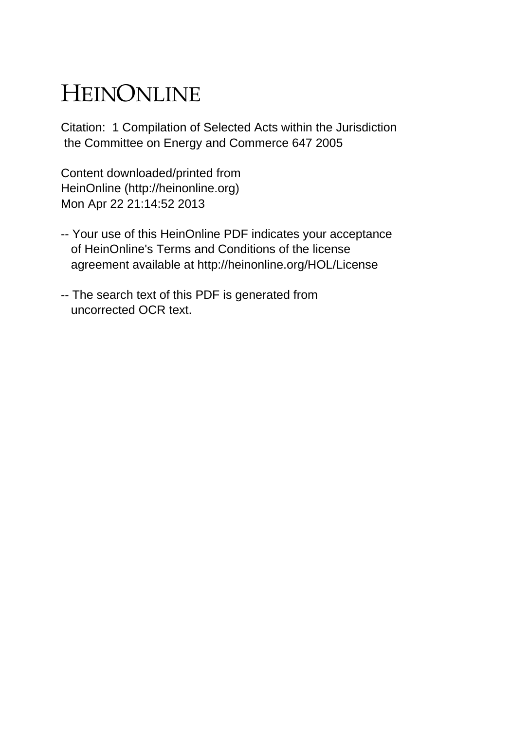## HEINONLINE

Citation: 1 Compilation of Selected Acts within the Jurisdiction the Committee on Energy and Commerce 647 2005

Content downloaded/printed from HeinOnline (http://heinonline.org) Mon Apr 22 21:14:52 2013

- -- Your use of this HeinOnline PDF indicates your acceptance of HeinOnline's Terms and Conditions of the license agreement available at http://heinonline.org/HOL/License
- -- The search text of this PDF is generated from uncorrected OCR text.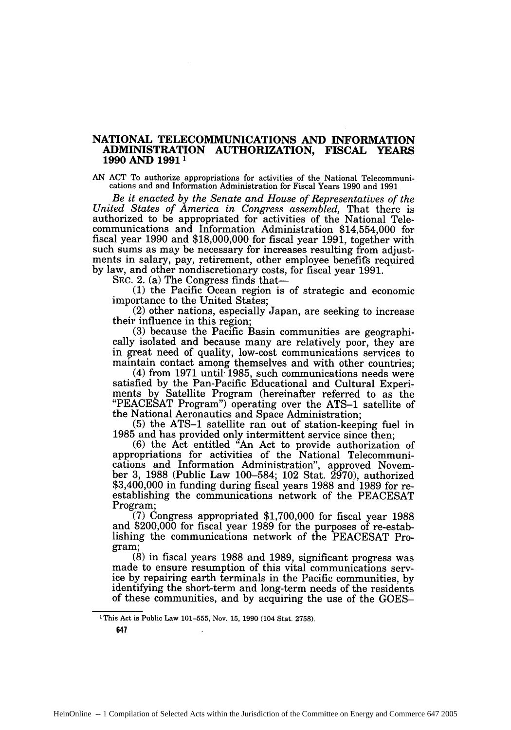## **NATIONAL TELECOMMUNICATIONS AND INFORMATION ADMINISTRATION AUTHORIZATION, FISCAL YEARS 1990 AND 19911**

**AN ACT** To authorize appropriations for activities of the National Telecommunications and and Information Administration for Fiscal Years **1990** and **1991**

*Be it enacted by the Senate and House of Representatives of the United States of America in Congress assembled,* That there is authorized to be appropriated for activities of the National Telecommunications and Information Administration \$14,554,000 for fiscal year 1990 and \$18,000,000 for fiscal year 1991, together with such sums as may be necessary for increases resulting from adjustments in salary, pay, retirement, other employee benefits required by law, and other nondiscretionary costs, for fiscal year 1991.

SEC. 2. (a) The Congress finds that-

**(1)** the Pacific Ocean region is of strategic and economic importance to the United States;

(2) other nations, especially Japan, are seeking to increase their influence in this region;

(3) because the Pacific Basin communities are geographically isolated and because many are relatively poor, they are in great need of quality, low-cost communications services to maintain contact among themselves and with other countries;

(4) from 1971 until- 1985, such communications needs were satisfied by the Pan-Pacific Educational and Cultural Experiments by Satellite Program (hereinafter referred to as the "PEACESAT Program") operating over the ATS-1 satellite of the National Aeronautics and Space Administration;

(5) the ATS-1 satellite ran out of station-keeping fuel in 1985 and has provided only intermittent service since then;

(6) the Act entitled "An Act to provide authorization of appropriations for activities of the National Telecommunications and Information Administration", approved November 3, 1988 (Public Law 100–584; 102 Stat. 2970), authorized \$3,400,000 in funding during fiscal years 1988 and 1989 for reestablishing the communications network of the PEACESAT Program;

(7) Congress appropriated \$1,700,000 for fiscal year 1988 and \$200,000 for fiscal year 1989 for the purposes of re-establishing the communications network of the PEACESAT Program;

(8) in fiscal years 1988 and 1989, significant progress was made to ensure resumption of this vital communications service by repairing earth terminals in the Pacific communities, by identifying the short-term and long-term needs of the residents of these communities, and by acquiring the use of the GOES-

**647**

<sup>&#</sup>x27;This Act is Public Law 101-555, Nov. 15, 1990 (104 Stat. 2758).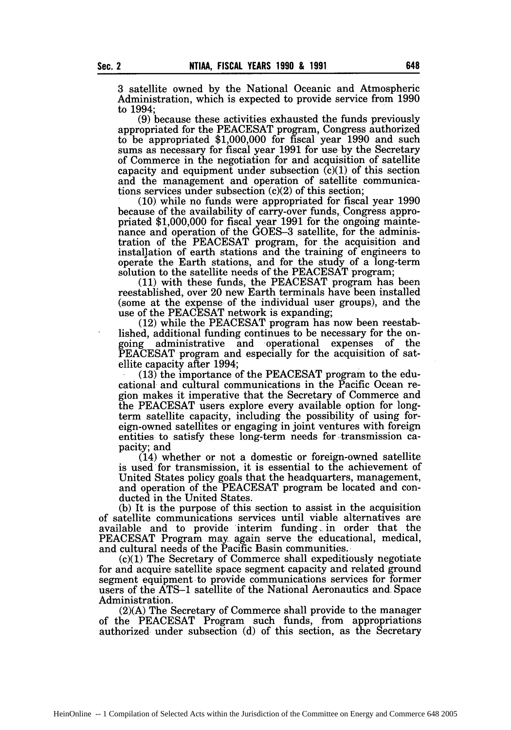3 satellite owned by the National Oceanic and Atmospheric Administration, which is expected to provide service from 1990 to 1994;

(9) because these activities exhausted the funds previously appropriated for the PEACESAT program, Congress authorized to be appropriated \$1,000,000 for fiscal year 1990 and such sums as necessary for fiscal year 1991 for use by the Secretary of Commerce in the negotiation for and acquisition of satellite capacity and equipment under subsection  $(c)(1)$  of this section and the management and operation of satellite communications services under subsection (c)(2) of this section;

(10) while no funds were appropriated for fiscal year 1990 because of the availability of carry-over funds, Congress appropriated \$1,000,000 for fiscal year 1991 for the ongoing maintenance and operation of the GOES-3 satellite, for the administration of the PEACESAT program, for the acquisition and installation of earth stations and the training of engineers to operate the Earth stations, and for the study of a long-term solution to the satellite needs of the PEACESAT program;

(11) with these funds, the PEACESAT program has been reestablished, over 20 new Earth terminals have been installed (some at the expense of the individual user groups), and the use of the PEACESAT network is expanding;

(12) while the PEACESAT program has now been reestablished, additional funding continues to be necessary for the ongoing administrative and operational expenses of the PEACESAT program and especially for the acquisition of satellite capacity after 1994; (13) the importance of the PEACESAT program to the edu-

cational and cultural communications in the Pacific Ocean region makes it imperative that the Secretary of Commerce and the PEACESAT users explore every available option for longterm satellite capacity, including the possibility of using foreign-owned satellites or engaging in joint ventures with foreign entities to satisfy these long-term needs for transmission capacity; and

(14) whether or not a domestic or foreign-owned satellite is used for transmission, it is essential to the achievement of United States policy goals that the headquarters, management, and operation of the PEACESAT program be located and conducted in the United States.

(b) It is the purpose of this section to assist in the acquisition of satellite communications services until viable alternatives are available and to provide interim funding.. in order that the PEACESAT Program may again serve the educational, medical, and cultural needs of the Pacific Basin communities..

(c)(1) The Secretary of Commerce shall expeditiously negotiate for and acquire satellite space segment capacity and related ground segment equipment to provide communications services for former users of the ATS-1 satellite of the National Aeronautics and. Space Administration.

(2)(A) The Secretary of Commerce shall provide to the manager of the PEACESAT Program such funds, from appropriations authorized under subsection (d) of this section, as the Secretary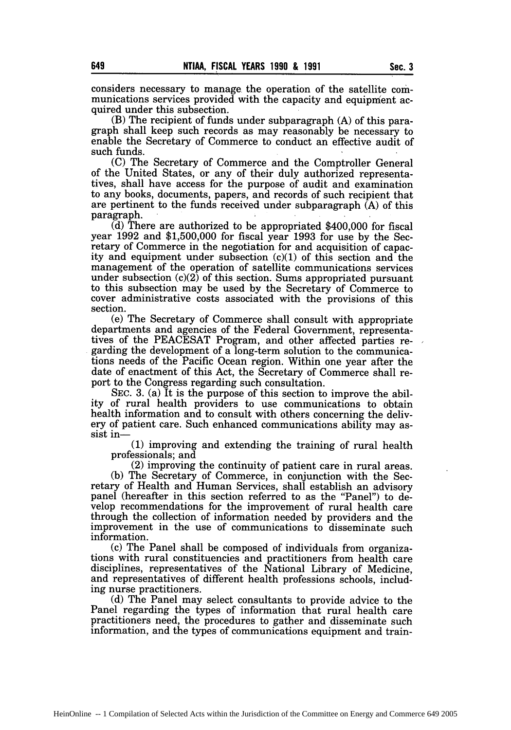considers necessary to manage the operation of the satellite communications services provided with the capacity and equipment acquired under this subsection.

(B) The recipient of funds under subparagraph (A) of this paragraph shall keep such records as may reasonably be necessary to enable the Secretary of Commerce to conduct an effective audit of such funds.

(C) The Secretary of Commerce and the Comptroller General of the United States, or any of their duly authorized representatives, shall have access for the purpose of audit and examination to any books, documents, papers, and records of such recipient that are pertinent to the funds received under subparagraph  $(A)$  of this paragraph.

(d) There are authorized to be appropriated \$400,000 for fiscal year 1992 and \$1,500,000 for fiscal year 1993 for use by the Secretary of Commerce in the negotiation for and acquisition of capacity and equipment under subsection (c)(1) of this section and the management of the operation of satellite communications services under subsection  $(c)(2)$  of this section. Sums appropriated pursuant to this subsection may be used by the Secretary of Commerce to cover administrative costs associated with the provisions of this section.

(e) The Secretary of Commerce shall consult with appropriate departments and agencies of the Federal Government, representatives of the PEACESAT Program, and other affected parties regarding the development of a long-term solution to the communications needs of the Pacific Ocean region. Within one year after the date of enactment of this Act, the Secretary of Commerce shall report to the Congress regarding such consultation.

SEC. 3. (a) It is the purpose of this section to improve the ability of rural health providers to use communications to obtain health information and to consult with others concerning the delivery of patient care. Such enhanced communications ability may assist in-

**(1)** improving and extending the training of rural health professionals; and

(2) improving the continuity of patient care in rural areas. (b) The Secretary of Commerce, in conjunction with the Secretary of Health and Human Services, shall establish an advisory panel (hereafter in this section referred to as the "Panel") to develop recommendations for the improvement of rural health care through the collection of information needed by providers and the improvement in the use of communications to disseminate such information.

(c) The Panel shall be composed of individuals from organiza- tions with rural constituencies and practitioners from health care disciplines, representatives of the National Library of Medicine, and representatives of different health professions schools, including nurse practitioners.

(d) The Panel may select consultants to provide advice to the Panel regarding the types of information that rural health care practitioners need, the procedures to gather and disseminate such information, and the types of communications equipment and train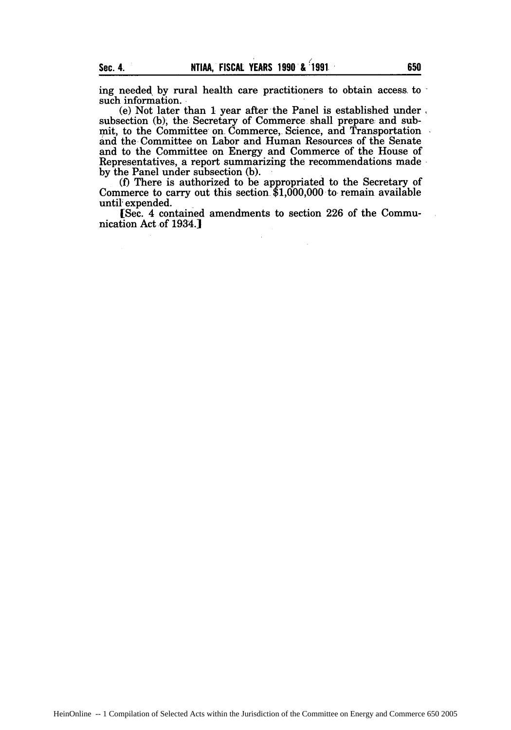ing needed by rural health care practitioners to obtain access. to such information.

(e) Not later than **I** year after the Panel is established under subsection (b), the Secretary of Commerce shall prepare: and submit, to the Committee on Commerce, Science, and Transportation and the Committee on Labor and Human Resources of the Senate and to the Committee on Energy and Commerce of the House of Representatives, a report summarizing the recommendations made by the Panel under subsection (b).

(f) There is authorized to be appropriated to the Secretary of Commerce to carry out this section \$1,000,000 to remain available until expended.

[Sec. 4 contained amendments to section 226 of the Communication Act of 1934.1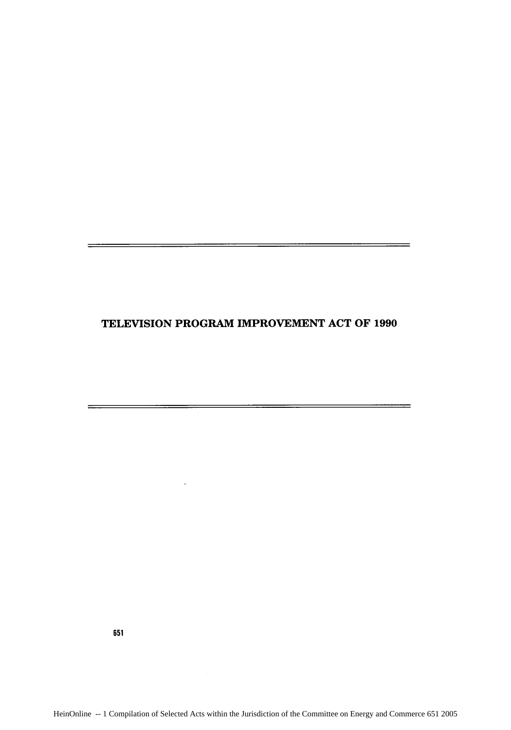## **TELEVISION** PROGRAM IMPROVEMENT **ACT** OF **1990**

<u>standard and the company of the company of the company of the company of the company of the company of the compa</u>

 $\ddot{\phantom{a}}$ 

651